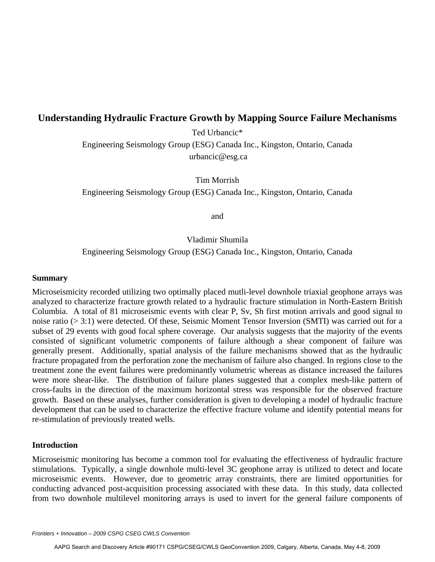# **Understanding Hydraulic Fracture Growth by Mapping Source Failure Mechanisms**

Ted Urbancic\*

Engineering Seismology Group (ESG) Canada Inc., Kingston, Ontario, Canada urbancic@esg.ca

Tim Morrish

Engineering Seismology Group (ESG) Canada Inc., Kingston, Ontario, Canada

and

#### Vladimir Shumila

Engineering Seismology Group (ESG) Canada Inc., Kingston, Ontario, Canada

#### **Summary**

Microseismicity recorded utilizing two optimally placed mutli-level downhole triaxial geophone arrays was analyzed to characterize fracture growth related to a hydraulic fracture stimulation in North-Eastern British Columbia. A total of 81 microseismic events with clear P, Sv, Sh first motion arrivals and good signal to noise ratio (> 3:1) were detected. Of these, Seismic Moment Tensor Inversion (SMTI) was carried out for a subset of 29 events with good focal sphere coverage. Our analysis suggests that the majority of the events consisted of significant volumetric components of failure although a shear component of failure was generally present. Additionally, spatial analysis of the failure mechanisms showed that as the hydraulic fracture propagated from the perforation zone the mechanism of failure also changed. In regions close to the treatment zone the event failures were predominantly volumetric whereas as distance increased the failures were more shear-like. The distribution of failure planes suggested that a complex mesh-like pattern of cross-faults in the direction of the maximum horizontal stress was responsible for the observed fracture growth. Based on these analyses, further consideration is given to developing a model of hydraulic fracture development that can be used to characterize the effective fracture volume and identify potential means for re-stimulation of previously treated wells.

#### **Introduction**

Microseismic monitoring has become a common tool for evaluating the effectiveness of hydraulic fracture stimulations. Typically, a single downhole multi-level 3C geophone array is utilized to detect and locate microseismic events. However, due to geometric array constraints, there are limited opportunities for conducting advanced post-acquisition processing associated with these data. In this study, data collected from two downhole multilevel monitoring arrays is used to invert for the general failure components of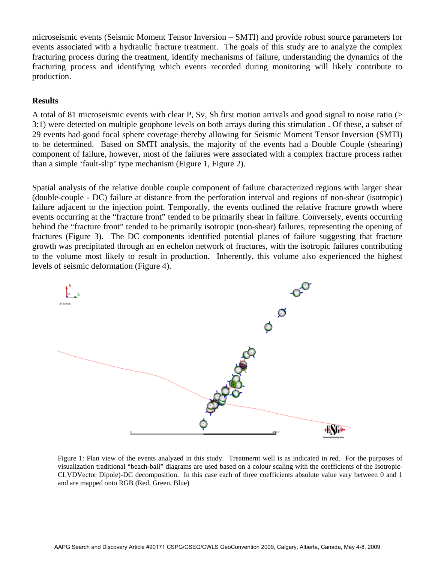microseismic events (Seismic Moment Tensor Inversion – SMTI) and provide robust source parameters for events associated with a hydraulic fracture treatment. The goals of this study are to analyze the complex fracturing process during the treatment, identify mechanisms of failure, understanding the dynamics of the fracturing process and identifying which events recorded during monitoring will likely contribute to production.

## **Results**

A total of 81 microseismic events with clear P, Sv, Sh first motion arrivals and good signal to noise ratio (> 3:1) were detected on multiple geophone levels on both arrays during this stimulation . Of these, a subset of 29 events had good focal sphere coverage thereby allowing for Seismic Moment Tensor Inversion (SMTI) to be determined. Based on SMTI analysis, the majority of the events had a Double Couple (shearing) component of failure, however, most of the failures were associated with a complex fracture process rather than a simple 'fault-slip' type mechanism (Figure 1, Figure 2).

Spatial analysis of the relative double couple component of failure characterized regions with larger shear (double-couple - DC) failure at distance from the perforation interval and regions of non-shear (isotropic) failure adjacent to the injection point. Temporally, the events outlined the relative fracture growth where events occurring at the "fracture front" tended to be primarily shear in failure. Conversely, events occurring behind the "fracture front" tended to be primarily isotropic (non-shear) failures, representing the opening of fractures (Figure 3). The DC components identified potential planes of failure suggesting that fracture growth was precipitated through an en echelon network of fractures, with the isotropic failures contributing to the volume most likely to result in production. Inherently, this volume also experienced the highest levels of seismic deformation (Figure 4).



Figure 1: Plan view of the events analyzed in this study. Treatmernt well is as indicated in red. For the purposes of visualization traditional "beach-ball" diagrams are used based on a colour scaling with the coefficients of the Isotropic-CLVDVector Dipole)-DC decomposition. In this case each of three coefficients absolute value vary between 0 and 1 and are mapped onto RGB (Red, Green, Blue)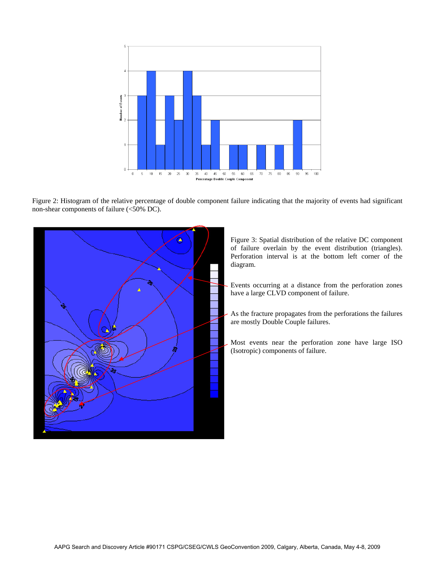

Figure 2: Histogram of the relative percentage of double component failure indicating that the majority of events had significant non-shear components of failure (<50% DC).



Figure 3: Spatial distribution of the relative DC component of failure overlain by the event distribution (triangles). Perforation interval is at the bottom left corner of the diagram.

- Events occurring at a distance from the perforation zones have a large CLVD component of failure.
- As the fracture propagates from the perforations the failures are mostly Double Couple failures.
- Most events near the perforation zone have large ISO (Isotropic) components of failure.